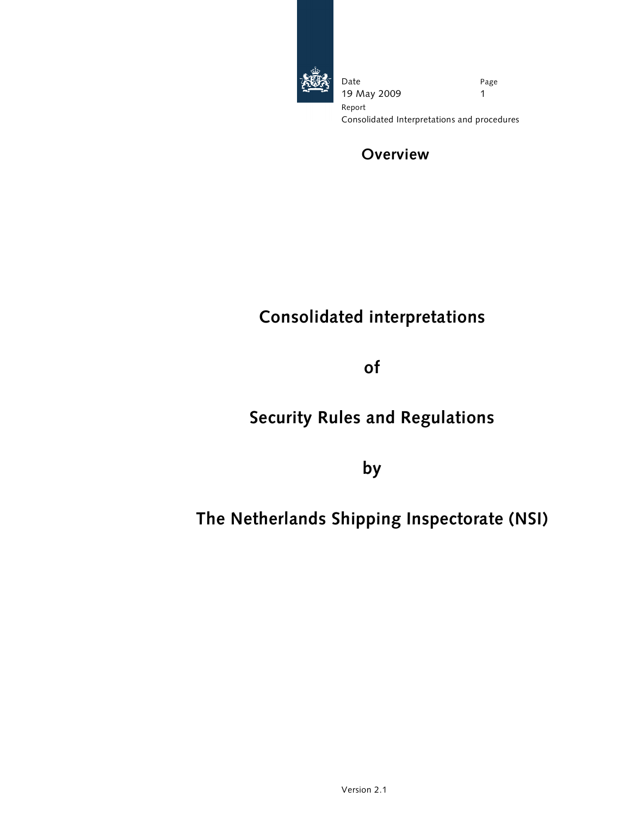

Date 19 May 2009 Page 1 Report Consolidated Interpretations and procedures

# Overview

# Consolidated interpretations

of

# Security Rules and Regulations

by

# The Netherlands Shipping Inspectorate (NSI)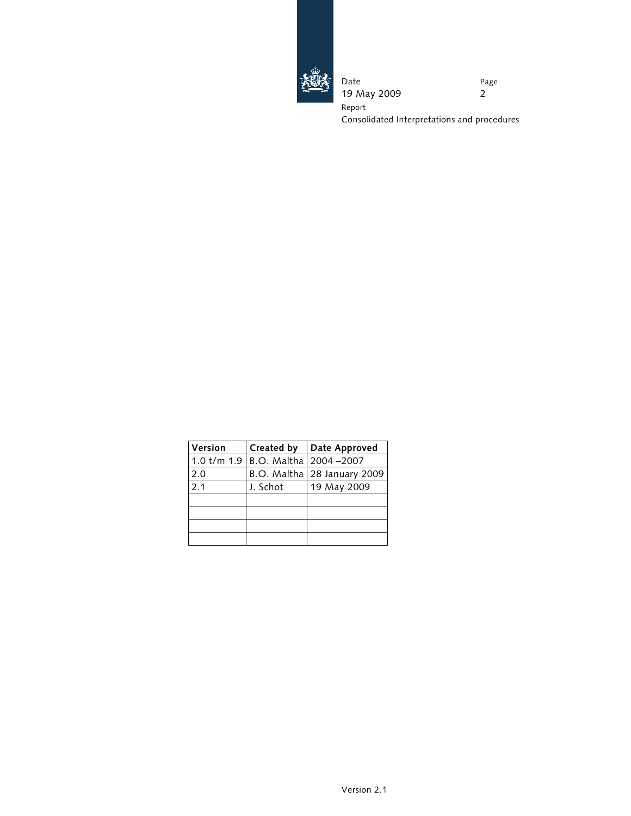

Date 19 May 2009 Page 2 Report Consolidated Interpretations and procedures

| Version         | Created by                | Date Approved                 |
|-----------------|---------------------------|-------------------------------|
| $1.0$ t/m $1.9$ | B.O. Maltha   2004 - 2007 |                               |
| 2.0             |                           | B.O. Maltha   28 January 2009 |
| 2.1             | J. Schot                  | 19 May 2009                   |
|                 |                           |                               |
|                 |                           |                               |
|                 |                           |                               |
|                 |                           |                               |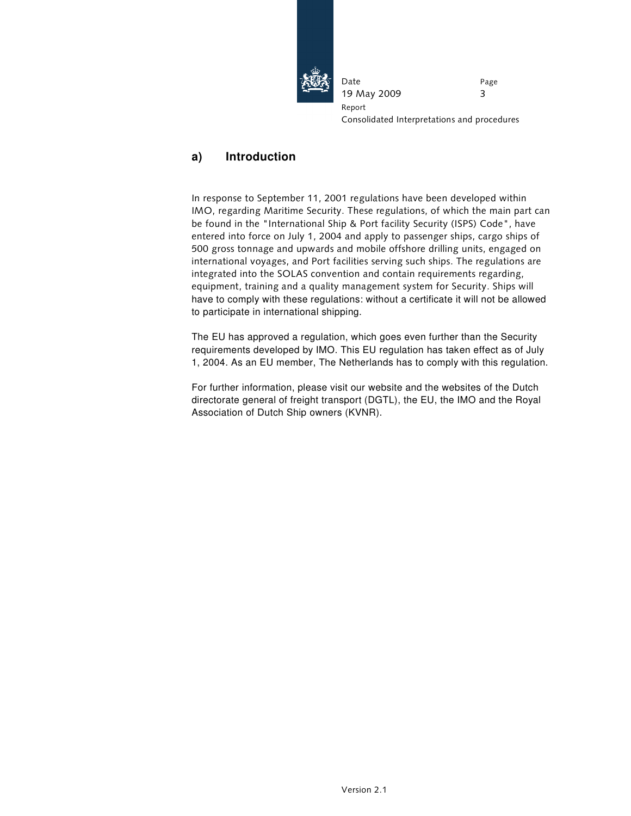

Date 19 May 2009 Page 3 Report Consolidated Interpretations and procedures

## **a) Introduction**

In response to September 11, 2001 regulations have been developed within IMO, regarding Maritime Security. These regulations, of which the main part can be found in the "International Ship & Port facility Security (ISPS) Code", have entered into force on July 1, 2004 and apply to passenger ships, cargo ships of 500 gross tonnage and upwards and mobile offshore drilling units, engaged on international voyages, and Port facilities serving such ships. The regulations are integrated into the SOLAS convention and contain requirements regarding, equipment, training and a quality management system for Security. Ships will have to comply with these regulations: without a certificate it will not be allowed to participate in international shipping.

The EU has approved a regulation, which goes even further than the Security requirements developed by IMO. This EU regulation has taken effect as of July 1, 2004. As an EU member, The Netherlands has to comply with this regulation.

For further information, please visit our website and the websites of the Dutch directorate general of freight transport (DGTL), the EU, the IMO and the Royal Association of Dutch Ship owners (KVNR).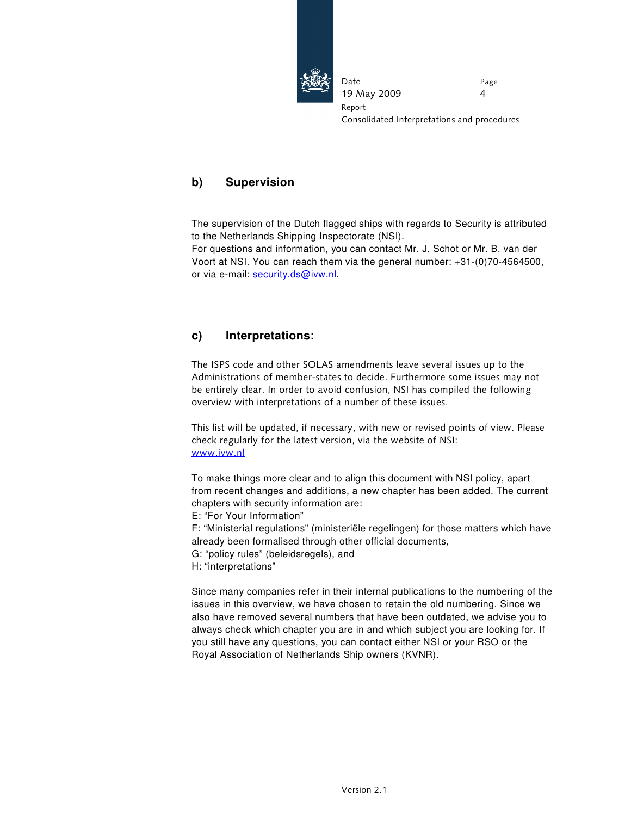

Date 19 May 2009 Page 4 Report Consolidated Interpretations and procedures

### **b) Supervision**

The supervision of the Dutch flagged ships with regards to Security is attributed to the Netherlands Shipping Inspectorate (NSI).

For questions and information, you can contact Mr. J. Schot or Mr. B. van der Voort at NSI. You can reach them via the general number: +31-(0)70-4564500, or via e-mail: security.ds@ivw.nl.

### **c) Interpretations:**

The ISPS code and other SOLAS amendments leave several issues up to the Administrations of member-states to decide. Furthermore some issues may not be entirely clear. In order to avoid confusion, NSI has compiled the following overview with interpretations of a number of these issues.

This list will be updated, if necessary, with new or revised points of view. Please check regularly for the latest version, via the website of NSI: www.ivw.nl

To make things more clear and to align this document with NSI policy, apart from recent changes and additions, a new chapter has been added. The current chapters with security information are:

E: "For Your Information"

F: "Ministerial regulations" (ministeriële regelingen) for those matters which have already been formalised through other official documents,

G: "policy rules" (beleidsregels), and

H: "interpretations"

Since many companies refer in their internal publications to the numbering of the issues in this overview, we have chosen to retain the old numbering. Since we also have removed several numbers that have been outdated, we advise you to always check which chapter you are in and which subject you are looking for. If you still have any questions, you can contact either NSI or your RSO or the Royal Association of Netherlands Ship owners (KVNR).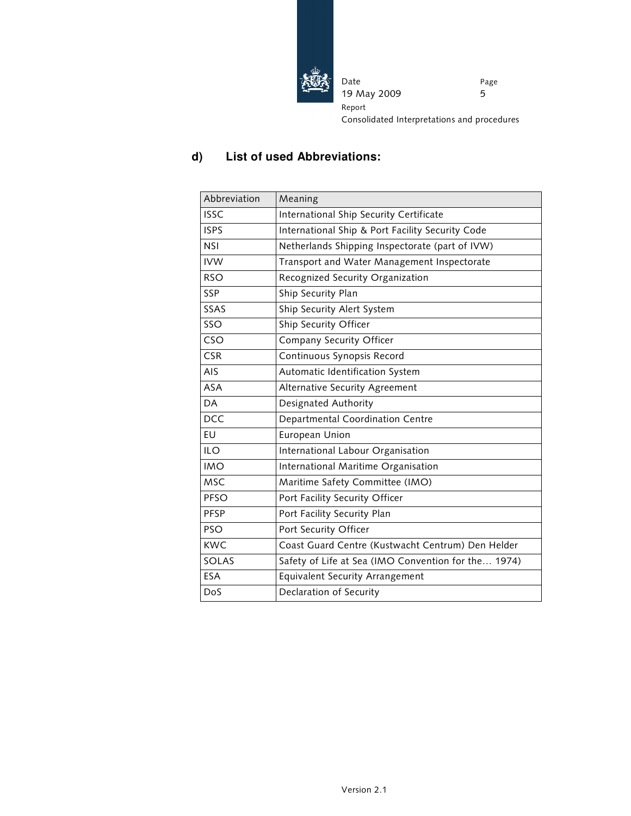

Date 19 May 2009 Page 5 Report Consolidated Interpretations and procedures

## **d) List of used Abbreviations:**

| Abbreviation | Meaning                                             |
|--------------|-----------------------------------------------------|
| <b>ISSC</b>  | International Ship Security Certificate             |
| <b>ISPS</b>  | International Ship & Port Facility Security Code    |
| <b>NSI</b>   | Netherlands Shipping Inspectorate (part of IVW)     |
| <b>IVW</b>   | Transport and Water Management Inspectorate         |
| <b>RSO</b>   | Recognized Security Organization                    |
| <b>SSP</b>   | Ship Security Plan                                  |
| SSAS         | Ship Security Alert System                          |
| SSO          | Ship Security Officer                               |
| CSO          | Company Security Officer                            |
| <b>CSR</b>   | Continuous Synopsis Record                          |
| AIS          | Automatic Identification System                     |
| <b>ASA</b>   | Alternative Security Agreement                      |
| DA           | Designated Authority                                |
| <b>DCC</b>   | Departmental Coordination Centre                    |
| EU           | European Union                                      |
| <b>ILO</b>   | International Labour Organisation                   |
| <b>IMO</b>   | International Maritime Organisation                 |
| <b>MSC</b>   | Maritime Safety Committee (IMO)                     |
| PFSO         | Port Facility Security Officer                      |
| PFSP         | Port Facility Security Plan                         |
| <b>PSO</b>   | Port Security Officer                               |
| <b>KWC</b>   | Coast Guard Centre (Kustwacht Centrum) Den Helder   |
| SOLAS        | Safety of Life at Sea (IMO Convention for the 1974) |
| <b>ESA</b>   | <b>Equivalent Security Arrangement</b>              |
| DoS          | Declaration of Security                             |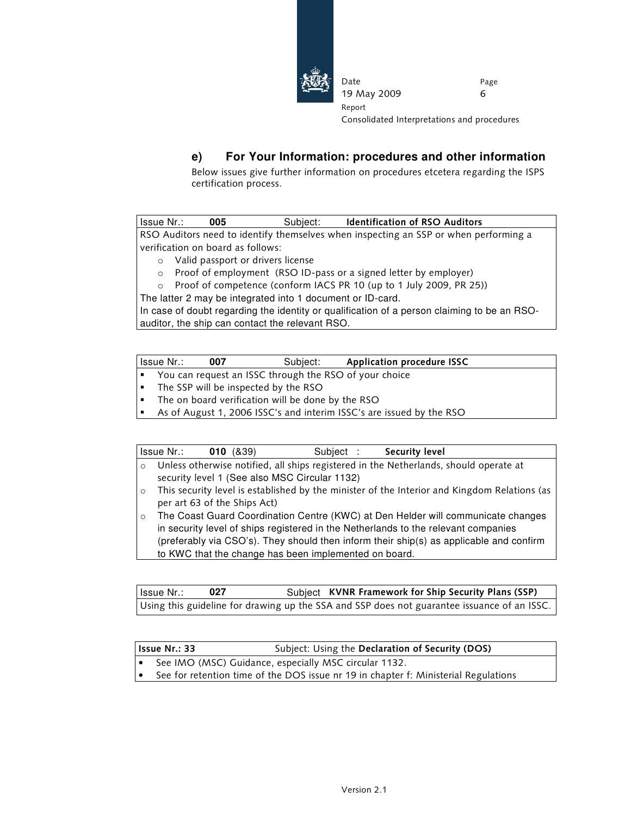

Consolidated Interpretations and procedures

### **e) For Your Information: procedures and other information**

19 May 2009

Date

Report

Below issues give further information on procedures etcetera regarding the ISPS certification process.

Issue Nr.: **005** Subject: Identification of RSO Auditors RSO Auditors need to identify themselves when inspecting an SSP or when performing a verification on board as follows:

- o Valid passport or drivers license
- o Proof of employment (RSO ID-pass or a signed letter by employer)
- o Proof of competence (conform IACS PR 10 (up to 1 July 2009, PR 25))

The latter 2 may be integrated into 1 document or ID-card.

In case of doubt regarding the identity or qualification of a person claiming to be an RSOauditor, the ship can contact the relevant RSO.

| Issue Nr.:                                             | 007 | Subject: | Application procedure ISSC                                           |  |  |
|--------------------------------------------------------|-----|----------|----------------------------------------------------------------------|--|--|
| You can request an ISSC through the RSO of your choice |     |          |                                                                      |  |  |
| • The SSP will be inspected by the RSO                 |     |          |                                                                      |  |  |
| • The on board verification will be done by the RSO    |     |          |                                                                      |  |  |
|                                                        |     |          | As of August 1, 2006 ISSC's and interim ISSC's are issued by the RSO |  |  |

|         | Issue Nr.: | 010(839)                                              | Subject : | Security level                                                                               |
|---------|------------|-------------------------------------------------------|-----------|----------------------------------------------------------------------------------------------|
| $\circ$ |            |                                                       |           | Unless otherwise notified, all ships registered in the Netherlands, should operate at        |
|         |            | security level 1 (See also MSC Circular 1132)         |           |                                                                                              |
| $\circ$ |            |                                                       |           | This security level is established by the minister of the Interior and Kingdom Relations (as |
|         |            | per art 63 of the Ships Act)                          |           |                                                                                              |
| $\circ$ |            |                                                       |           | The Coast Guard Coordination Centre (KWC) at Den Helder will communicate changes             |
|         |            |                                                       |           | in security level of ships registered in the Netherlands to the relevant companies           |
|         |            |                                                       |           | (preferably via CSO's). They should then inform their ship(s) as applicable and confirm      |
|         |            | to KWC that the change has been implemented on board. |           |                                                                                              |

Issue Nr.: **027** Subject KVNR Framework for Ship Security Plans (SSP) Using this guideline for drawing up the SSA and SSP does not guarantee issuance of an ISSC.

| l Issue Nr.: 33 | Subject: Using the Declaration of Security (DOS)                                    |
|-----------------|-------------------------------------------------------------------------------------|
|                 | See IMO (MSC) Guidance, especially MSC circular 1132.                               |
|                 | See for retention time of the DOS issue nr 19 in chapter f: Ministerial Regulations |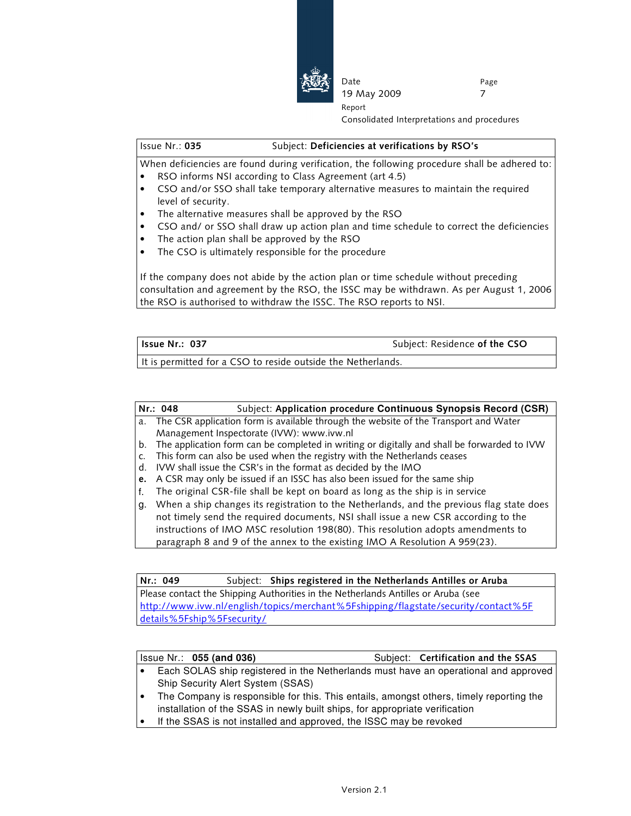

Consolidated Interpretations and procedures

#### Issue Nr.: 035 Subject: Deficiencies at verifications by RSO's

When deficiencies are found during verification, the following procedure shall be adhered to: RSO informs NSI according to Class Agreement (art 4.5)

Date

Report

19 May 2009

- CSO and/or SSO shall take temporary alternative measures to maintain the required level of security.
- The alternative measures shall be approved by the RSO
- CSO and/ or SSO shall draw up action plan and time schedule to correct the deficiencies
- The action plan shall be approved by the RSO
- The CSO is ultimately responsible for the procedure

If the company does not abide by the action plan or time schedule without preceding consultation and agreement by the RSO, the ISSC may be withdrawn. As per August 1, 2006 the RSO is authorised to withdraw the ISSC. The RSO reports to NSI.

| l Issue Nr.: 037                                                                                                                                                                                                               | Subject: Residence of the CSO |
|--------------------------------------------------------------------------------------------------------------------------------------------------------------------------------------------------------------------------------|-------------------------------|
| The figure conception of the corresponding to the conceptibility of the contraction of the contract of the contract of the contract of the contract of the contract of the contract of the contract of the contract of the con |                               |

It is permitted for a CSO to reside outside the Netherlands.

| Nr.: 048 | Subject: Application procedure Continuous Synopsis Record (CSR) |
|----------|-----------------------------------------------------------------|
|          |                                                                 |

- a. The CSR application form is available through the website of the Transport and Water Management Inspectorate (IVW): www.ivw.nl
- b. The application form can be completed in writing or digitally and shall be forwarded to IVW
- c. This form can also be used when the registry with the Netherlands ceases
- d. IVW shall issue the CSR's in the format as decided by the IMO
- e. A CSR may only be issued if an ISSC has also been issued for the same ship
- f. The original CSR-file shall be kept on board as long as the ship is in service
- g. When a ship changes its registration to the Netherlands, and the previous flag state does not timely send the required documents, NSI shall issue a new CSR according to the instructions of IMO MSC resolution 198(80). This resolution adopts amendments to paragraph 8 and 9 of the annex to the existing IMO A Resolution A 959(23).

Nr.: 049 Subject: Ships registered in the Netherlands Antilles or Aruba Please contact the Shipping Authorities in the Netherlands Antilles or Aruba (see http://www.ivw.nl/english/topics/merchant%5Fshipping/flagstate/security/contact%5F details%5Fship%5Fsecurity/

|  |  | $ $ Issue Nr.: $055$ (and 036)                                                      |  |  | Subject: Certification and the SSAS |  |
|--|--|-------------------------------------------------------------------------------------|--|--|-------------------------------------|--|
|  |  | Each SOLAS ship registered in the Netherlands must have an operational and approved |  |  |                                     |  |
|  |  | <b>Ship Security Alert System (SSAS)</b>                                            |  |  |                                     |  |

- The Company is responsible for this. This entails, amongst others, timely reporting the installation of the SSAS in newly built ships, for appropriate verification
- If the SSAS is not installed and approved, the ISSC may be revoked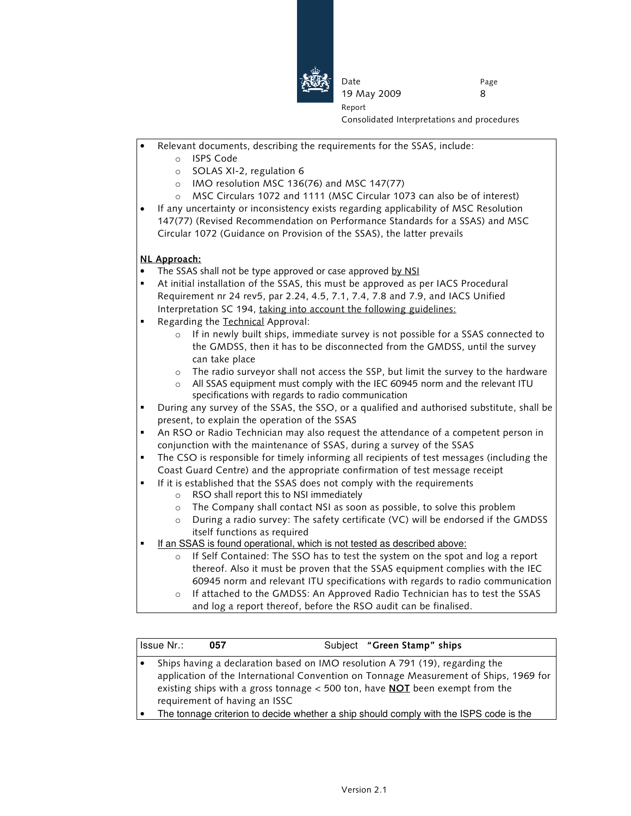

Consolidated Interpretations and procedures

- Relevant documents, describing the requirements for the SSAS, include:
	- o ISPS Code
	- o SOLAS XI-2, regulation 6
	- o IMO resolution MSC 136(76) and MSC 147(77)
	- o MSC Circulars 1072 and 1111 (MSC Circular 1073 can also be of interest)

Date

Report

19 May 2009

• If any uncertainty or inconsistency exists regarding applicability of MSC Resolution 147(77) (Revised Recommendation on Performance Standards for a SSAS) and MSC Circular 1072 (Guidance on Provision of the SSAS), the latter prevails

#### NL Approach:

- The SSAS shall not be type approved or case approved by NSI
- At initial installation of the SSAS, this must be approved as per IACS Procedural Requirement nr 24 rev5, par 2.24, 4.5, 7.1, 7.4, 7.8 and 7.9, and IACS Unified Interpretation SC 194, taking into account the following guidelines:
- **Regarding the Technical Approval:** 
	- $\circ$  If in newly built ships, immediate survey is not possible for a SSAS connected to the GMDSS, then it has to be disconnected from the GMDSS, until the survey can take place
	- The radio surveyor shall not access the SSP, but limit the survey to the hardware
	- All SSAS equipment must comply with the IEC 60945 norm and the relevant ITU specifications with regards to radio communication
- During any survey of the SSAS, the SSO, or a qualified and authorised substitute, shall be present, to explain the operation of the SSAS
- An RSO or Radio Technician may also request the attendance of a competent person in conjunction with the maintenance of SSAS, during a survey of the SSAS
- The CSO is responsible for timely informing all recipients of test messages (including the Coast Guard Centre) and the appropriate confirmation of test message receipt
- If it is established that the SSAS does not comply with the requirements
	- o RSO shall report this to NSI immediately
	- o The Company shall contact NSI as soon as possible, to solve this problem
	- $\circ$  During a radio survey: The safety certificate (VC) will be endorsed if the GMDSS itself functions as required
- If an SSAS is found operational, which is not tested as described above:
	- o If Self Contained: The SSO has to test the system on the spot and log a report thereof. Also it must be proven that the SSAS equipment complies with the IEC 60945 norm and relevant ITU specifications with regards to radio communication
		- If attached to the GMDSS: An Approved Radio Technician has to test the SSAS and log a report thereof, before the RSO audit can be finalised.

|           | Issue Nr.: | 057                           | Subject "Green Stamp" ships                                                                                                                                                                                                                                    |
|-----------|------------|-------------------------------|----------------------------------------------------------------------------------------------------------------------------------------------------------------------------------------------------------------------------------------------------------------|
| $\bullet$ |            | requirement of having an ISSC | Ships having a declaration based on IMO resolution A 791 (19), regarding the<br>application of the International Convention on Tonnage Measurement of Ships, 1969 for<br>existing ships with a gross tonnage $<$ 500 ton, have <b>NOT</b> been exempt from the |
|           |            |                               | The tonnage criterion to decide whether a ship should comply with the ISPS code is the                                                                                                                                                                         |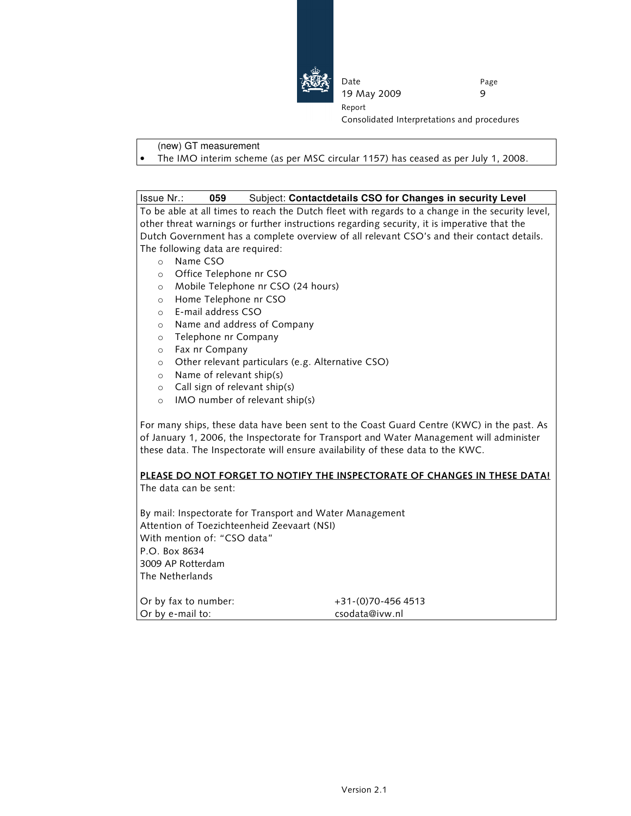

Consolidated Interpretations and procedures

#### (new) GT measurement

• The IMO interim scheme (as per MSC circular 1157) has ceased as per July 1, 2008.

Date

Report

19 May 2009

#### Issue Nr.: **059** Subject: **Contactdetails CSO for Changes in security Level**

To be able at all times to reach the Dutch fleet with regards to a change in the security level, other threat warnings or further instructions regarding security, it is imperative that the Dutch Government has a complete overview of all relevant CSO's and their contact details. The following data are required:

- o Name CSO
- o Office Telephone nr CSO
- o Mobile Telephone nr CSO (24 hours)
- o Home Telephone nr CSO
- o E-mail address CSO
- o Name and address of Company
- o Telephone nr Company
- o Fax nr Company
- o Other relevant particulars (e.g. Alternative CSO)
- o Name of relevant ship(s)
- o Call sign of relevant ship(s)
- o IMO number of relevant ship(s)

For many ships, these data have been sent to the Coast Guard Centre (KWC) in the past. As of January 1, 2006, the Inspectorate for Transport and Water Management will administer these data. The Inspectorate will ensure availability of these data to the KWC.

## PLEASE DO NOT FORGET TO NOTIFY THE INSPECTORATE OF CHANGES IN THESE DATA!

The data can be sent:

By mail: Inspectorate for Transport and Water Management Attention of Toezichteenheid Zeevaart (NSI) With mention of: "CSO data" P.O. Box 8634 3009 AP Rotterdam The Netherlands

Or by e-mail to: csodata@ivw.nl

Or by fax to number: +31-(0)70-456 4513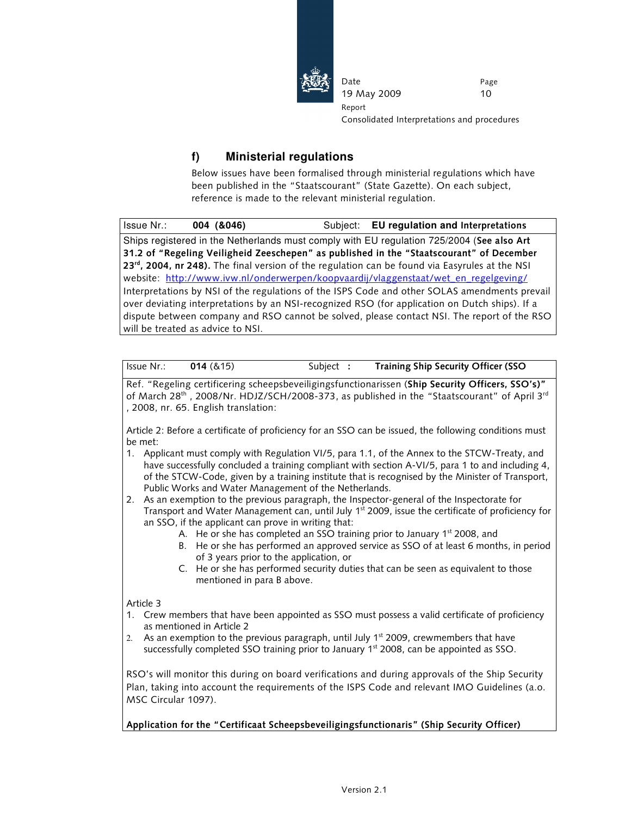

Consolidated Interpretations and procedures

### **f) Ministerial regulations**

Below issues have been formalised through ministerial regulations which have been published in the "Staatscourant" (State Gazette). On each subject, reference is made to the relevant ministerial regulation.

Date

Report

19 May 2009

| Issue Nr.: | 004 (&046)                        | Subject: EU regulation and Interpretations                                                     |
|------------|-----------------------------------|------------------------------------------------------------------------------------------------|
|            |                                   | Ships registered in the Netherlands must comply with EU regulation 725/2004 (See also Art      |
|            |                                   | 31.2 of "Regeling Veiligheid Zeeschepen" as published in the "Staatscourant" of December       |
|            |                                   | 23rd, 2004, nr 248). The final version of the regulation can be found via Easyrules at the NSI |
|            |                                   | website: http://www.ivw.nl/onderwerpen/koopvaardij/vlaggenstaat/wet_en_regelgeving/            |
|            |                                   | Interpretations by NSI of the regulations of the ISPS Code and other SOLAS amendments prevail  |
|            |                                   | over deviating interpretations by an NSI-recognized RSO (for application on Dutch ships). If a |
|            |                                   | dispute between company and RSO cannot be solved, please contact NSI. The report of the RSO    |
|            | will be treated as advice to NSI. |                                                                                                |

| Issue Nr.: | 014 (&15) | Subject | Training Ship Security Officer (SSO |
|------------|-----------|---------|-------------------------------------|
|------------|-----------|---------|-------------------------------------|

Ref. "Regeling certificering scheepsbeveiligingsfunctionarissen (Ship Security Officers, SSO's)" of March 28<sup>th</sup> , 2008/Nr. HDJZ/SCH/2008-373, as published in the "Staatscourant" of April 3<sup>rd</sup> , 2008, nr. 65. English translation:

Article 2: Before a certificate of proficiency for an SSO can be issued, the following conditions must be met:

- 1. Applicant must comply with Regulation VI/5, para 1.1, of the Annex to the STCW-Treaty, and have successfully concluded a training compliant with section A-VI/5, para 1 to and including 4, of the STCW-Code, given by a training institute that is recognised by the Minister of Transport, Public Works and Water Management of the Netherlands.
- 2. As an exemption to the previous paragraph, the Inspector-general of the Inspectorate for Transport and Water Management can, until July 1<sup>st</sup> 2009, issue the certificate of proficiency for an SSO, if the applicant can prove in writing that:
	- A. He or she has completed an SSO training prior to January  $1<sup>st</sup>$  2008, and
	- B. He or she has performed an approved service as SSO of at least 6 months, in period of 3 years prior to the application, or
	- C. He or she has performed security duties that can be seen as equivalent to those mentioned in para B above.

Article 3

- 1. Crew members that have been appointed as SSO must possess a valid certificate of proficiency as mentioned in Article 2
- 2. As an exemption to the previous paragraph, until July  $1<sup>st</sup>$  2009, crewmembers that have successfully completed SSO training prior to January  $1<sup>st</sup>$  2008, can be appointed as SSO.

RSO's will monitor this during on board verifications and during approvals of the Ship Security Plan, taking into account the requirements of the ISPS Code and relevant IMO Guidelines (a.o. MSC Circular 1097).

Application for the "Certificaat Scheepsbeveiligingsfunctionaris" (Ship Security Officer)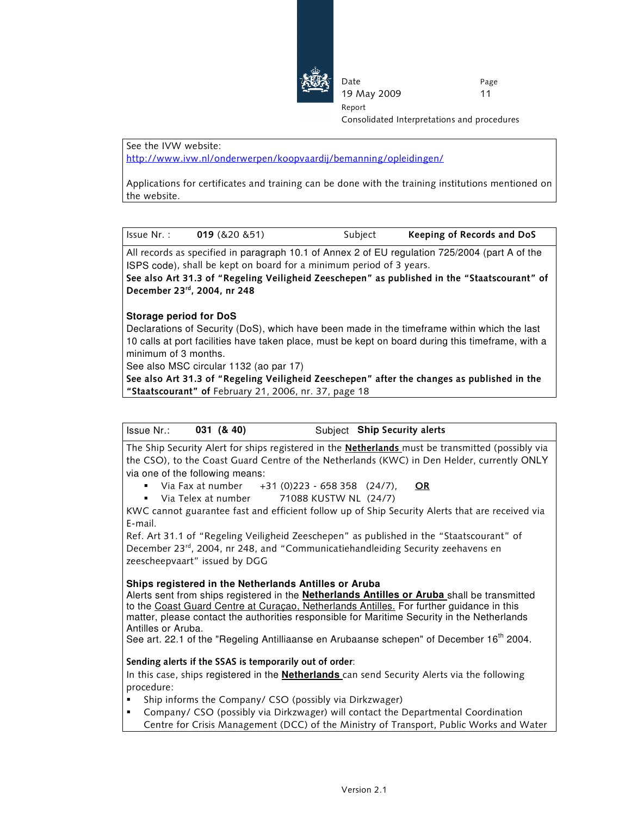

Consolidated Interpretations and procedures

See the IVW website:

http://www.ivw.nl/onderwerpen/koopvaardij/bemanning/opleidingen/

Applications for certificates and training can be done with the training institutions mentioned on the website.

Date

Report

19 May 2009

| Issue Nr.: | 019(820851) | Subject | Keeping of Records and DoS |
|------------|-------------|---------|----------------------------|
|            |             |         |                            |

All records as specified in paragraph 10.1 of Annex 2 of EU regulation 725/2004 (part A of the ISPS code), shall be kept on board for a minimum period of 3 years.

See also Art 31.3 of "Regeling Veiligheid Zeeschepen" as published in the "Staatscourant" of December 23rd, 2004, nr 248

#### **Storage period for DoS**

Declarations of Security (DoS), which have been made in the timeframe within which the last 10 calls at port facilities have taken place, must be kept on board during this timeframe, with a minimum of 3 months.

See also MSC circular 1132 (ao par 17)

See also Art 31.3 of "Regeling Veiligheid Zeeschepen" after the changes as published in the "Staatscourant" of February 21, 2006, nr. 37, page 18

| 031(8.40)<br>Issue Nr.: |  |  | Subject Ship Security alerts |  |  |
|-------------------------|--|--|------------------------------|--|--|
|-------------------------|--|--|------------------------------|--|--|

The Ship Security Alert for ships registered in the Netherlands must be transmitted (possibly via the CSO), to the Coast Guard Centre of the Netherlands (KWC) in Den Helder, currently ONLY via one of the following means:

- Via Fax at number  $+31$  (0)223 658 358 (24/7), OR
- Via Telex at number 71088 KUSTW NL (24/7)

KWC cannot guarantee fast and efficient follow up of Ship Security Alerts that are received via E-mail.

Ref. Art 31.1 of "Regeling Veiligheid Zeeschepen" as published in the "Staatscourant" of December 23<sup>rd</sup>, 2004, nr 248, and "Communicatiehandleiding Security zeehavens en zeescheepvaart" issued by DGG

#### **Ships registered in the Netherlands Antilles or Aruba**

Alerts sent from ships registered in the **Netherlands Antilles or Aruba** shall be transmitted to the Coast Guard Centre at Curaçao, Netherlands Antilles. For further guidance in this matter, please contact the authorities responsible for Maritime Security in the Netherlands Antilles or Aruba.

See art. 22.1 of the "Regeling Antilliaanse en Arubaanse schepen" of December  $16<sup>th</sup>$  2004.

#### Sending alerts if the SSAS is temporarily out of order:

In this case, ships registered in the **Netherlands** can send Security Alerts via the following procedure:

- Ship informs the Company/ CSO (possibly via Dirkzwager)
	- Company/ CSO (possibly via Dirkzwager) will contact the Departmental Coordination Centre for Crisis Management (DCC) of the Ministry of Transport, Public Works and Water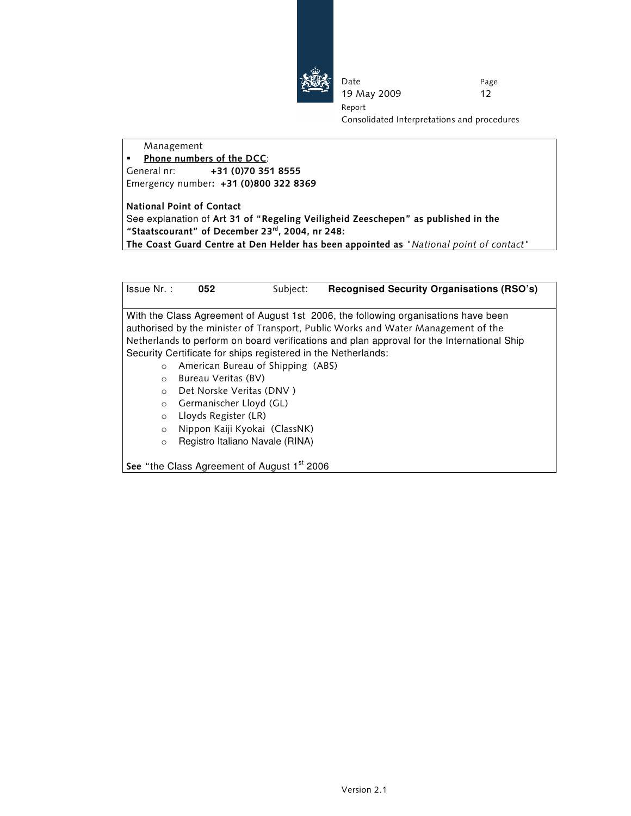

Date 19 May 2009 Page 12 Report

Consolidated Interpretations and procedures

Management

 Phone numbers of the DCC: General nr: +31 (0)70 351 8555 Emergency number: +31 (0)800 322 8369

National Point of Contact See explanation of Art 31 of "Regeling Veiligheid Zeeschepen" as published in the "Staatscourant" of December 23rd, 2004, nr 248: The Coast Guard Centre at Den Helder has been appointed as "National point of contact"

Issue Nr. : **052** Subject: **Recognised Security Organisations (RSO's)** With the Class Agreement of August 1st 2006, the following organisations have been authorised by the minister of Transport, Public Works and Water Management of the Netherlands to perform on board verifications and plan approval for the International Ship Security Certificate for ships registered in the Netherlands: o American Bureau of Shipping (ABS) o Bureau Veritas (BV) o Det Norske Veritas (DNV ) o Germanischer Lloyd (GL) o Lloyds Register (LR) o Nippon Kaiji Kyokai (ClassNK) o Registro Italiano Navale (RINA)

See "the Class Agreement of August  $1<sup>st</sup>$  2006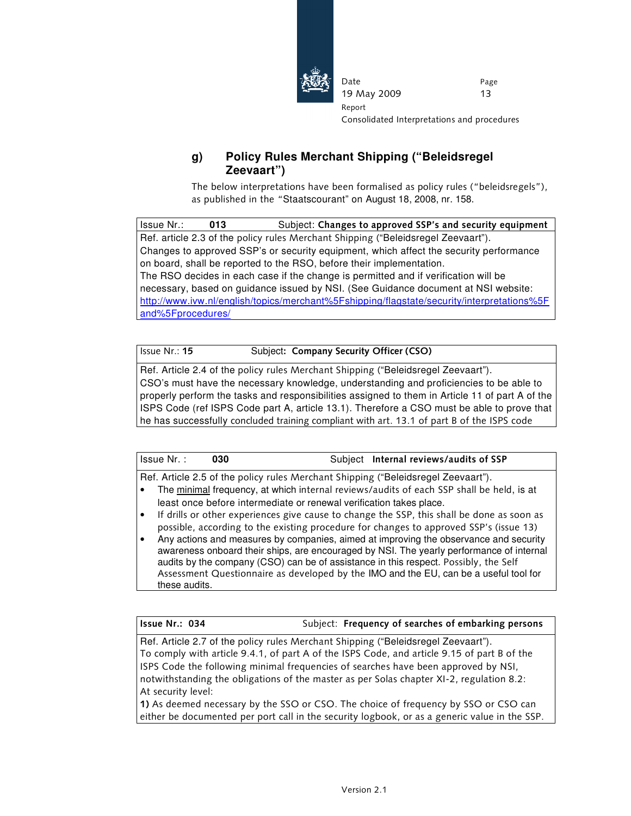

Consolidated Interpretations and procedures

### **g) Policy Rules Merchant Shipping ("Beleidsregel Zeevaart")**

Date

Report

19 May 2009

The below interpretations have been formalised as policy rules ("beleidsregels"), as published in the "Staatscourant" on August 18, 2008, nr. 158.

Issue Nr.: **013** Subject: Changes to approved SSP's and security equipment Ref. article 2.3 of the policy rules Merchant Shipping ("Beleidsregel Zeevaart"). Changes to approved SSP's or security equipment, which affect the security performance on board, shall be reported to the RSO, before their implementation. The RSO decides in each case if the change is permitted and if verification will be necessary, based on guidance issued by NSI. (See Guidance document at NSI website: http://www.ivw.nl/english/topics/merchant%5Fshipping/flagstate/security/interpretations%5F and%5Fprocedures/

Issue Nr.: 15 Subject: Company Security Officer (CSO)

Ref. Article 2.4 of the policy rules Merchant Shipping ("Beleidsregel Zeevaart"). CSO's must have the necessary knowledge, understanding and proficiencies to be able to properly perform the tasks and responsibilities assigned to them in Article 11 of part A of the ISPS Code (ref ISPS Code part A, article 13.1). Therefore a CSO must be able to prove that he has successfully concluded training compliant with art. 13.1 of part B of the ISPS code

| Issue Nr. :                                                                       |               | 030                                                                 |  | Subject Internal reviews/audits of SSP                                                                                                                                                                                                                                                                                                                             |  |
|-----------------------------------------------------------------------------------|---------------|---------------------------------------------------------------------|--|--------------------------------------------------------------------------------------------------------------------------------------------------------------------------------------------------------------------------------------------------------------------------------------------------------------------------------------------------------------------|--|
| Ref. Article 2.5 of the policy rules Merchant Shipping ("Beleidsregel Zeevaart"). |               |                                                                     |  |                                                                                                                                                                                                                                                                                                                                                                    |  |
|                                                                                   |               |                                                                     |  | The minimal frequency, at which internal reviews/audits of each SSP shall be held, is at                                                                                                                                                                                                                                                                           |  |
|                                                                                   |               | least once before intermediate or renewal verification takes place. |  |                                                                                                                                                                                                                                                                                                                                                                    |  |
|                                                                                   |               |                                                                     |  | If drills or other experiences give cause to change the SSP, this shall be done as soon as                                                                                                                                                                                                                                                                         |  |
|                                                                                   |               |                                                                     |  | possible, according to the existing procedure for changes to approved SSP's (issue 13)                                                                                                                                                                                                                                                                             |  |
|                                                                                   | these audits. |                                                                     |  | Any actions and measures by companies, aimed at improving the observance and security<br>awareness onboard their ships, are encouraged by NSI. The yearly performance of internal<br>audits by the company (CSO) can be of assistance in this respect. Possibly, the Self<br>Assessment Questionnaire as developed by the IMO and the EU, can be a useful tool for |  |

Issue Nr.: 034 Subject: Frequency of searches of embarking persons

Ref. Article 2.7 of the policy rules Merchant Shipping ("Beleidsregel Zeevaart"). To comply with article 9.4.1, of part A of the ISPS Code, and article 9.15 of part B of the ISPS Code the following minimal frequencies of searches have been approved by NSI, notwithstanding the obligations of the master as per Solas chapter XI-2, regulation 8.2: At security level:

1) As deemed necessary by the SSO or CSO. The choice of frequency by SSO or CSO can either be documented per port call in the security logbook, or as a generic value in the SSP.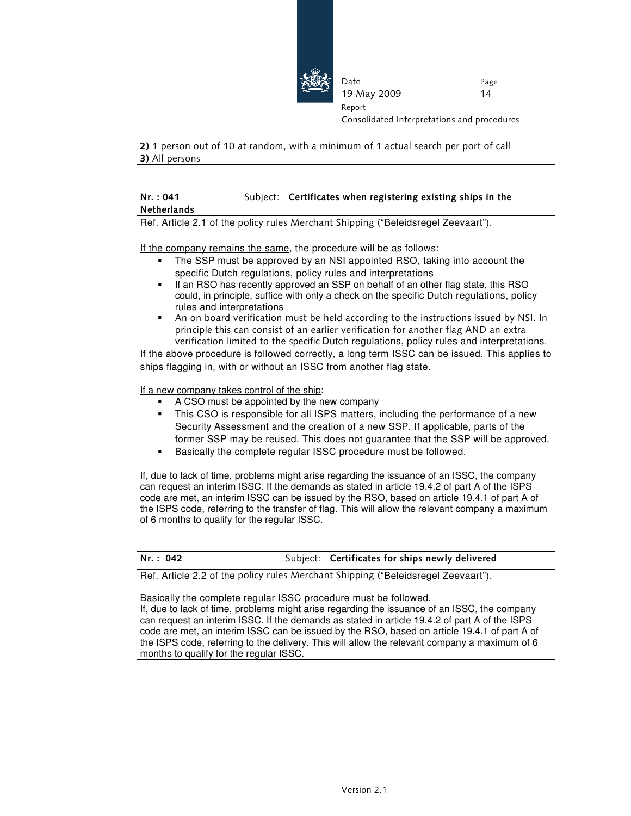

Date

Report

19 May 2009

Page 14

Consolidated Interpretations and procedures

2) 1 person out of 10 at random, with a minimum of 1 actual search per port of call 3) All persons

#### Nr. : 041 Subject: Certificates when registering existing ships in the Netherlands

Ref. Article 2.1 of the policy rules Merchant Shipping ("Beleidsregel Zeevaart").

If the company remains the same, the procedure will be as follows:

- The SSP must be approved by an NSI appointed RSO, taking into account the specific Dutch regulations, policy rules and interpretations
- If an RSO has recently approved an SSP on behalf of an other flag state, this RSO could, in principle, suffice with only a check on the specific Dutch regulations, policy rules and interpretations
- An on board verification must be held according to the instructions issued by NSI. In principle this can consist of an earlier verification for another flag AND an extra verification limited to the specific Dutch regulations, policy rules and interpretations.

If the above procedure is followed correctly, a long term ISSC can be issued. This applies to ships flagging in, with or without an ISSC from another flag state.

If a new company takes control of the ship:

- A CSO must be appointed by the new company
- This CSO is responsible for all ISPS matters, including the performance of a new Security Assessment and the creation of a new SSP. If applicable, parts of the former SSP may be reused. This does not guarantee that the SSP will be approved.
- Basically the complete regular ISSC procedure must be followed.

If, due to lack of time, problems might arise regarding the issuance of an ISSC, the company can request an interim ISSC. If the demands as stated in article 19.4.2 of part A of the ISPS code are met, an interim ISSC can be issued by the RSO, based on article 19.4.1 of part A of the ISPS code, referring to the transfer of flag. This will allow the relevant company a maximum of 6 months to qualify for the regular ISSC.

Nr. : 042 Subject: Certificates for ships newly delivered Ref. Article 2.2 of the policy rules Merchant Shipping ("Beleidsregel Zeevaart"). Basically the complete regular ISSC procedure must be followed. If, due to lack of time, problems might arise regarding the issuance of an ISSC, the company can request an interim ISSC. If the demands as stated in article 19.4.2 of part A of the ISPS code are met, an interim ISSC can be issued by the RSO, based on article 19.4.1 of part A of the ISPS code, referring to the delivery. This will allow the relevant company a maximum of 6 months to qualify for the regular ISSC.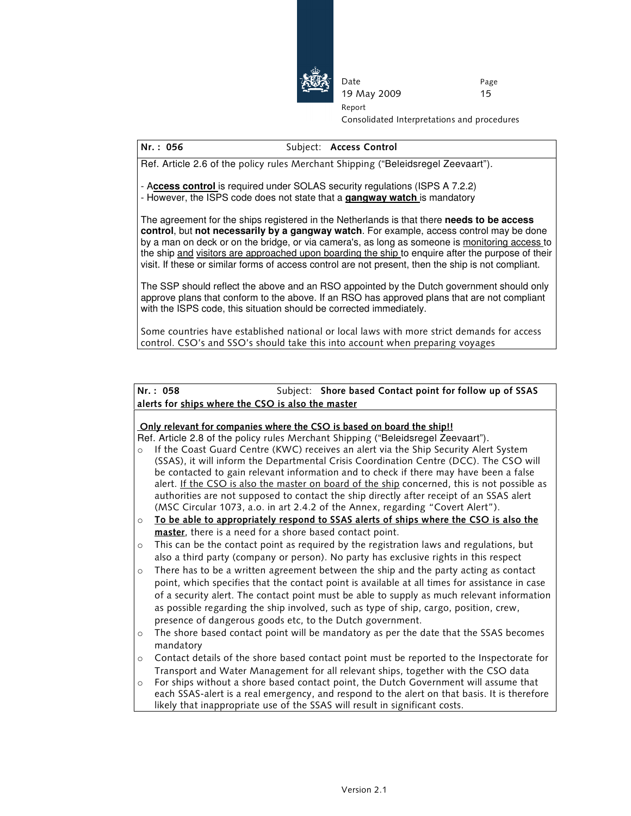

Consolidated Interpretations and procedures

#### Nr.: 056 Subject: Access Control

Ref. Article 2.6 of the policy rules Merchant Shipping ("Beleidsregel Zeevaart").

- A**ccess control** is required under SOLAS security regulations (ISPS A 7.2.2)

- However, the ISPS code does not state that a **gangway watch** is mandatory

The agreement for the ships registered in the Netherlands is that there **needs to be access control**, but **not necessarily by a gangway watch**. For example, access control may be done by a man on deck or on the bridge, or via camera's, as long as someone is monitoring access to the ship and visitors are approached upon boarding the ship to enquire after the purpose of their visit. If these or similar forms of access control are not present, then the ship is not compliant.

Date

Report

19 May 2009

The SSP should reflect the above and an RSO appointed by the Dutch government should only approve plans that conform to the above. If an RSO has approved plans that are not compliant with the ISPS code, this situation should be corrected immediately.

Some countries have established national or local laws with more strict demands for access control. CSO's and SSO's should take this into account when preparing voyages

#### Nr.: 058 Subject: Shore based Contact point for follow up of SSAS alerts for ships where the CSO is also the master

#### Only relevant for companies where the CSO is based on board the ship!!

Ref. Article 2.8 of the policy rules Merchant Shipping ("Beleidsregel Zeevaart").

- o If the Coast Guard Centre (KWC) receives an alert via the Ship Security Alert System (SSAS), it will inform the Departmental Crisis Coordination Centre (DCC). The CSO will be contacted to gain relevant information and to check if there may have been a false alert. If the CSO is also the master on board of the ship concerned, this is not possible as authorities are not supposed to contact the ship directly after receipt of an SSAS alert (MSC Circular 1073, a.o. in art 2.4.2 of the Annex, regarding "Covert Alert").
- $\circ$  To be able to appropriately respond to SSAS alerts of ships where the CSO is also the master, there is a need for a shore based contact point.
- $\circ$  This can be the contact point as required by the registration laws and regulations, but also a third party (company or person). No party has exclusive rights in this respect
- $\circ$  There has to be a written agreement between the ship and the party acting as contact point, which specifies that the contact point is available at all times for assistance in case of a security alert. The contact point must be able to supply as much relevant information as possible regarding the ship involved, such as type of ship, cargo, position, crew, presence of dangerous goods etc, to the Dutch government.
- $\circ$  The shore based contact point will be mandatory as per the date that the SSAS becomes mandatory
- o Contact details of the shore based contact point must be reported to the Inspectorate for Transport and Water Management for all relevant ships, together with the CSO data
- For ships without a shore based contact point, the Dutch Government will assume that each SSAS-alert is a real emergency, and respond to the alert on that basis. It is therefore likely that inappropriate use of the SSAS will result in significant costs.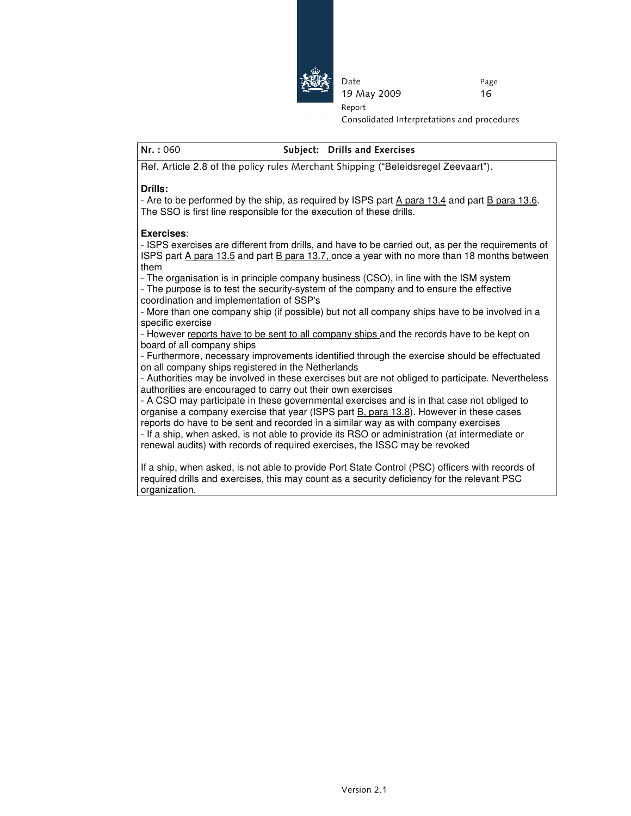

Consolidated Interpretations and procedures

#### Nr. : 060 Subject: Drills and Exercises

Date

Report

19 May 2009

Ref. Article 2.8 of the policy rules Merchant Shipping ("Beleidsregel Zeevaart").

#### **Drills:**

- Are to be performed by the ship, as required by ISPS part A para 13.4 and part B para 13.6. The SSO is first line responsible for the execution of these drills.

#### **Exercises**:

- ISPS exercises are different from drills, and have to be carried out, as per the requirements of ISPS part A para 13.5 and part B para 13.7, once a year with no more than 18 months between them

- The organisation is in principle company business (CSO), in line with the ISM system - The purpose is to test the security-system of the company and to ensure the effective coordination and implementation of SSP's

- More than one company ship (if possible) but not all company ships have to be involved in a specific exercise

- However reports have to be sent to all company ships and the records have to be kept on board of all company ships

- Furthermore, necessary improvements identified through the exercise should be effectuated on all company ships registered in the Netherlands

- Authorities may be involved in these exercises but are not obliged to participate. Nevertheless authorities are encouraged to carry out their own exercises

- A CSO may participate in these governmental exercises and is in that case not obliged to organise a company exercise that year (ISPS part **B**, para 13.8). However in these cases reports do have to be sent and recorded in a similar way as with company exercises

- If a ship, when asked, is not able to provide its RSO or administration (at intermediate or renewal audits) with records of required exercises, the ISSC may be revoked

If a ship, when asked, is not able to provide Port State Control (PSC) officers with records of required drills and exercises, this may count as a security deficiency for the relevant PSC organization.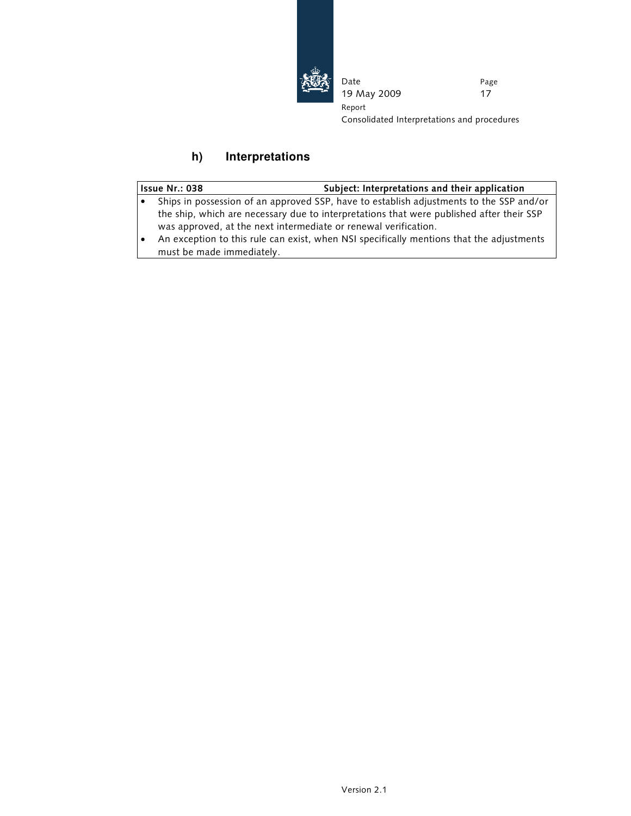

Date 19 May 2009 Page 17 Report Consolidated Interpretations and procedures

# **h) Interpretations**

| <b>Issue Nr.: 038</b>                                           | Subject: Interpretations and their application                                           |
|-----------------------------------------------------------------|------------------------------------------------------------------------------------------|
|                                                                 | Ships in possession of an approved SSP, have to establish adjustments to the SSP and/or  |
|                                                                 | the ship, which are necessary due to interpretations that were published after their SSP |
| was approved, at the next intermediate or renewal verification. |                                                                                          |
|                                                                 | An exception to this rule can exist, when NSI specifically mentions that the adjustments |
| must be made immediately.                                       |                                                                                          |